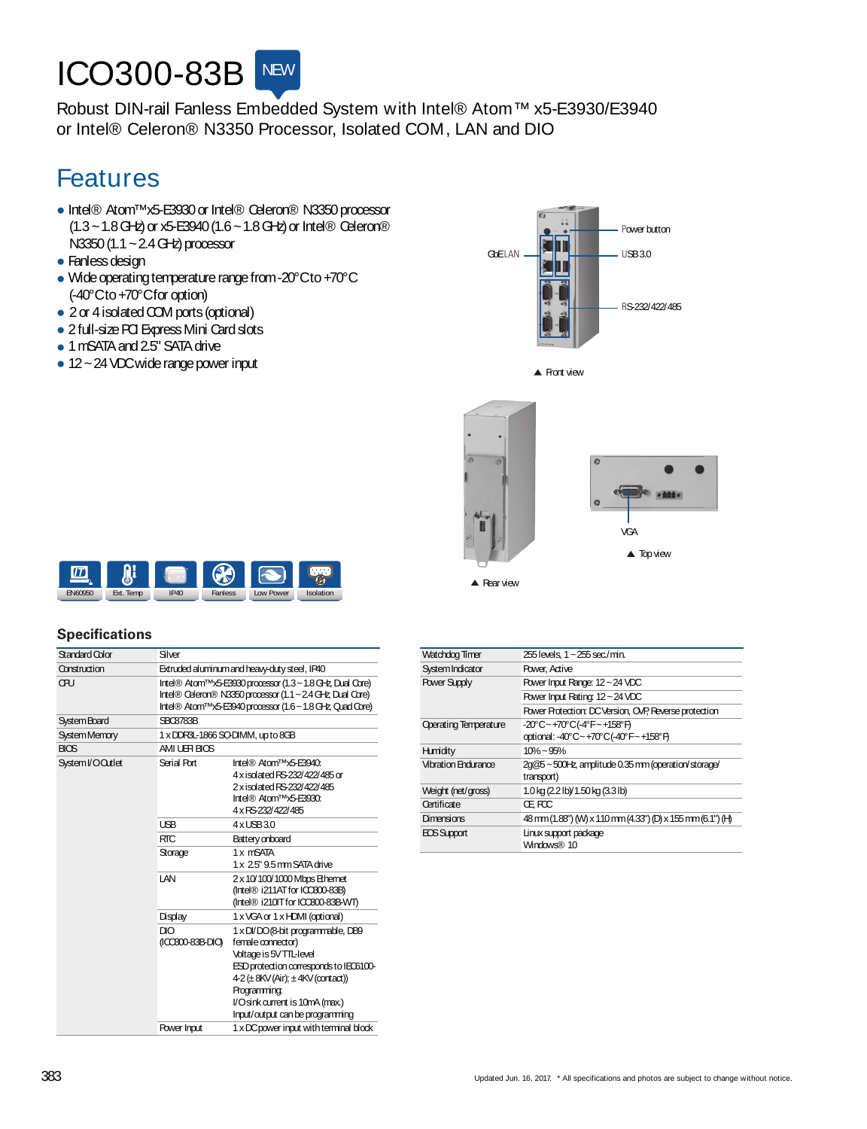## **ICO300-83B** NEW

Robust DIN-rail Fanless Embedded System with Intel® Atom™ x5-E3930/E3940 or Intel® Celeron® N3350 Processor, Isolated COM, LAN and DIO

## Features

- Intel® Atom™x5-E3930or Intel® Celeron® N3350processor (1.3~1.8GHz)or x5-E3940(1.6~1.8GHz)or Intel® Celeron®  $N3350(1.1 \sim 2.4$  GHz) processor
- Fanless design
- Wide operating temperature range from -20°Cto +70°C (-40°Cto+70°Cforoption)
- 2 or 4 isolated COM ports (optional)
- 2 full-size PCI Express Mini Card slots
- 1 mSATA and 2.5" SATA drive
- $\bullet$  12 ~ 24 VDC wide range power input







▲ Rear view



## **Specifications**

| Standard Color       | Silver                            |                                                                                                                                                                                                                                                                    |
|----------------------|-----------------------------------|--------------------------------------------------------------------------------------------------------------------------------------------------------------------------------------------------------------------------------------------------------------------|
| Construction         |                                   | Extruded aluminum and heavy-duty steel, IP40                                                                                                                                                                                                                       |
| ŒU                   |                                   | Intel® Atom™x5-E3930 processor (1.3~1.8 GHz, Dual Core)<br>Intel® Celeron® N3350 processor (1.1 ~ 2.4 GHz, Dual Core)<br>Intel® Atom <sup>™</sup> x5-E3940 processor (1.6~1.8 GHz, Quad Core)                                                                      |
| <b>System Board</b>  | <b>SBC8783B</b>                   |                                                                                                                                                                                                                                                                    |
| <b>System Memory</b> | 1 x DDR3L-1866 SO-DIMM, up to 8GB |                                                                                                                                                                                                                                                                    |
| <b>BIOS</b>          | AMI UEH BIOS                      |                                                                                                                                                                                                                                                                    |
| System I/O Outlet    | Serial Port                       | Intel® Atom™x5-E3940:<br>4 x isolated RS-232/422/485 or<br>2 x isolated RS-232/422/485<br>Intel® Atom™x5-E3930:<br>4 x RS-232/422/485                                                                                                                              |
|                      | <b>USB</b>                        | $4 \times$ LSB $3.0$                                                                                                                                                                                                                                               |
|                      | <b>RTC</b>                        | Battery onboard                                                                                                                                                                                                                                                    |
|                      | Storage                           | 1 x mSATA<br>1 x 2.5" 9.5 mm SATA drive                                                                                                                                                                                                                            |
|                      | I AN                              | 2 x 10/100/1000 Mbps Ethernet<br>(Intel® i211AT for ICC800-83B)<br>(Intel® i210IT for ICCB00-83B-WT)                                                                                                                                                               |
|                      | Display                           | 1 x VGA or 1 x HDMI (optional)                                                                                                                                                                                                                                     |
|                      | DIO<br>((CCB00-83B-DIO)           | 1 x DI/DO (8-bit programmable, DB9<br>female connector)<br>Voltage is 5V TTL-level<br>ESD protection corresponds to IEO6100-<br>$4-2$ ( $\pm$ 8KV (Air); $\pm$ 4KV (contact))<br>Programming:<br>l/Osink current is 10mA (max.)<br>Input/output can be programming |
|                      | Power Input                       | 1 x DC power input with terminal block                                                                                                                                                                                                                             |

| Watchdog Timer               | 255 levels, 1 ~ 255 sec./min.                                           |
|------------------------------|-------------------------------------------------------------------------|
| System Indicator             | Power, Active                                                           |
| <b>Power Supply</b>          | Power Input Range: 12 ~ 24 VDC                                          |
|                              | Power Input Rating: 12~24 VDC                                           |
|                              | Power Protection: DC Version, OVP, Reverse protection                   |
| <b>Operating Temperature</b> | $-20^{\circ}$ C ~ +70 $^{\circ}$ C(-4 $^{\circ}$ F ~ +158 $^{\circ}$ F) |
|                              | optional: -40°C~+70°C(-40°F~+158°F)                                     |
| Humidity                     | $10\% - 95\%$                                                           |
| <b>Vibration Endurance</b>   | 2g@5~500Hz, amplitude 0.35 mm (operation/storage/<br>transport)         |
| Weight (net/gross)           | 1.0 kg (2.2 lb) 1.50 kg (3.3 lb)                                        |
| Certificate                  | ŒFCC                                                                    |
| Dimensions                   | 48 mm (1.88") (M) x 110 mm (4.33") (D) x 155 mm (6.1") (H)              |
| <b>ECS</b> Support           | Linux support package<br>Windows® 10                                    |